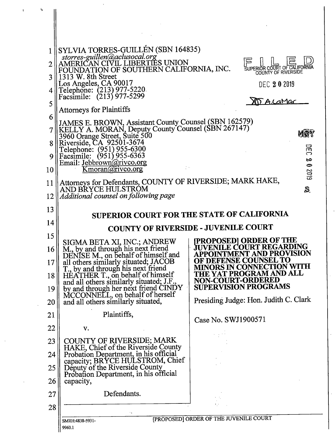|          | SYLVIA TORRES-GUILLÉN (SBN 164835)<br>storres-guillen@aclusocal.org<br>AMERICAN CIVIL LIBERTIES UNION<br>FOUNDATION OF SOUTHERN CALIFORNIA, INC.                         | SUPERIOR COURT OF CALIFORNIA<br>COUNTY OF RIVERSIDE                                                   |
|----------|--------------------------------------------------------------------------------------------------------------------------------------------------------------------------|-------------------------------------------------------------------------------------------------------|
| 3        | 1313 W. 8th Street                                                                                                                                                       |                                                                                                       |
|          | Los Angeles, CA 90017<br>Telephone: (213) 977-5220<br>Facsimile: (213) 977-5299                                                                                          | DEC 202019                                                                                            |
| 5        | <b>Attorneys for Plaintiffs</b>                                                                                                                                          | <u>M A.CaMar</u>                                                                                      |
| 6        | JAMES E. BROWN, Assistant County Counsel (SBN 162579)<br>KELLY A. MORAN, Deputy County Counsel (SBN 267147)<br>3960 Orange Street, Suite 500<br>Riverside, CA 92501-3674 | MSY                                                                                                   |
| 8        |                                                                                                                                                                          |                                                                                                       |
|          | Telephone: (951) 955-6300<br>Facsimile: (951) 955-6363                                                                                                                   | 뮤<br>౧<br>Ø                                                                                           |
| 10       | Email: Jebbrown@rivco.org<br>Kmoran@rivco.org                                                                                                                            | $\bullet$<br>2019                                                                                     |
| 11       | Attorneys for Defendants, COUNTY OF RIVERSIDE; MARK HAKE, AND BRYCE HULSTROM                                                                                             | S                                                                                                     |
| 12       | Additional counsel on following page                                                                                                                                     |                                                                                                       |
| 13       | <b>SUPERIOR COURT FOR THE STATE OF CALIFORNIA</b>                                                                                                                        |                                                                                                       |
|          |                                                                                                                                                                          |                                                                                                       |
| 14       |                                                                                                                                                                          |                                                                                                       |
| 15       |                                                                                                                                                                          | <b>COUNTY OF RIVERSIDE - JUVENILE COURT</b>                                                           |
| 16       | SIGMA BETA XI, INC.; ANDREW                                                                                                                                              | <b>[PROPOSED] ORDER OF THE</b><br><b>JUVENILE COURT REGARDING</b><br><b>APPOINTMENT AND PROVISION</b> |
| 17       | M., by and through his next friend<br>DENISE M., on behalf of himself and<br>all others similarly situated; JACOB<br>T., by and through his next friend                  | OF DEFENSE COUNSEL TO<br><b>MINORS IN CONNECTION WITH</b>                                             |
| 18       | HEATHER T., on behalf of himself<br>and all others similarly situated; J.F.,                                                                                             | THE YAT PROGRAM AND ALL<br><b>NON-COURT-ORDERED</b>                                                   |
| 19<br>20 | by and through her next friend CINDY<br>MCCONNELL, on behalf of herself<br>and all others similarly situated,                                                            | <b>SUPERVISION PROGRAMS</b><br>Presiding Judge: Hon. Judith C. Clark                                  |
| 21       | Plaintiffs,                                                                                                                                                              |                                                                                                       |
| 22       | v.                                                                                                                                                                       | Case No. SWJ1900571                                                                                   |
| 23       | <b>COUNTY OF RIVERSIDE; MARK</b>                                                                                                                                         |                                                                                                       |
| 24       | HAKE, Chief of the Riverside County<br>Probation Department, in his official                                                                                             |                                                                                                       |
| 25       | capacity; BRYCE HULSTROM, Chief<br>Deputy of the Riverside County                                                                                                        |                                                                                                       |
| 26       | Probation Department, in his official<br>capacity,                                                                                                                       |                                                                                                       |
| 27       | Defendants.                                                                                                                                                              |                                                                                                       |
| 28       |                                                                                                                                                                          |                                                                                                       |

 $\ddot{a}$ 

 $\ddot{\phantom{a}}$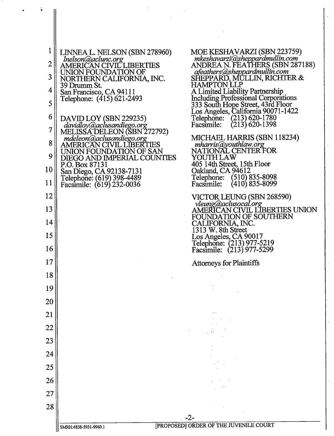| 1<br>$\overline{2}$<br>3<br>4<br>5<br>6<br>$\overline{7}$<br>8<br>9<br>10<br>11 | LINNEA L. NELSON (SBN 278960)<br>Inelson@aclunc.org<br>AMERICAN CIVIL LIBERTIES<br>UNION FOUNDATION OF<br>NORTHERN CALIFORNIA, INC.<br>39 Drumm St.<br>San Francisco, CA 94111<br>Telephone: (415) 621-2493<br>DAVID LOY (SBN 229235)<br>davidloy@aclusandiego.org<br>MELISSA DELEON (SBN 272792)<br>mdeleon@aclusandiego.org<br>AMERICAN CIVIL LIBERTIES<br>UNION FOUNDATION OF SAN<br>DIEGO AND IMPERIAL COUNTIES<br>P.O. Box 87131<br>San Diego, CA 92138-7131<br>Telephone: (619) 398-4489<br>Facsimile: (619) 232-0036 | MOE KESHAVARZI (SBN 223759)<br>mkeshavarzi@sheppardmullin.com<br>ANDREA N. FEATHERS (SBN 287188)<br>afeathers@sheppardmullin.com<br>SHEPPARD, MULLIN, RICHTER &<br><b>HAMPTON LLP</b><br>A Limited Liability Partnership<br>Including Professional Corporations<br>333 South Hope Street, 43rd Floor<br>Los Angeles, California 90071-1422<br>$(213)$ 620-1780<br>Telephone:<br>$(213)$ 620-1398<br>Facsimile:<br>MICHAEL HARRIS (SBN 118234)<br>$mharris$ (a)youthlaw.org<br>NATIONAL CENTER FOR<br>YOUTH LAW<br>405 14th Street, 15th Floor<br>Oakland, CA 94612<br>$(510)$ 835-8098<br>Telephone:<br>Facsimile:<br>$(410)$ 835-8099 |
|---------------------------------------------------------------------------------|-----------------------------------------------------------------------------------------------------------------------------------------------------------------------------------------------------------------------------------------------------------------------------------------------------------------------------------------------------------------------------------------------------------------------------------------------------------------------------------------------------------------------------|----------------------------------------------------------------------------------------------------------------------------------------------------------------------------------------------------------------------------------------------------------------------------------------------------------------------------------------------------------------------------------------------------------------------------------------------------------------------------------------------------------------------------------------------------------------------------------------------------------------------------------------|
| 12                                                                              |                                                                                                                                                                                                                                                                                                                                                                                                                                                                                                                             | VICTOR LEUNG (SBN 268590)                                                                                                                                                                                                                                                                                                                                                                                                                                                                                                                                                                                                              |
| 13                                                                              |                                                                                                                                                                                                                                                                                                                                                                                                                                                                                                                             | vleung@aclusocal.org<br>AMERICAN CIVIL LIBERTIES UNION                                                                                                                                                                                                                                                                                                                                                                                                                                                                                                                                                                                 |
| 14<br>15                                                                        |                                                                                                                                                                                                                                                                                                                                                                                                                                                                                                                             | FOUNDATION OF SOUTHERN<br>CALIFORNIA, INC.<br>1313 W. 8th Street<br>Los Angeles, CA 90017                                                                                                                                                                                                                                                                                                                                                                                                                                                                                                                                              |
| 16                                                                              |                                                                                                                                                                                                                                                                                                                                                                                                                                                                                                                             | Telephone: (213) 977-5219<br>Facsimile: (213) 977-5299                                                                                                                                                                                                                                                                                                                                                                                                                                                                                                                                                                                 |
| 17                                                                              |                                                                                                                                                                                                                                                                                                                                                                                                                                                                                                                             | <b>Attorneys for Plaintiffs</b>                                                                                                                                                                                                                                                                                                                                                                                                                                                                                                                                                                                                        |
| 18                                                                              |                                                                                                                                                                                                                                                                                                                                                                                                                                                                                                                             |                                                                                                                                                                                                                                                                                                                                                                                                                                                                                                                                                                                                                                        |
| 19                                                                              |                                                                                                                                                                                                                                                                                                                                                                                                                                                                                                                             |                                                                                                                                                                                                                                                                                                                                                                                                                                                                                                                                                                                                                                        |
| 20                                                                              |                                                                                                                                                                                                                                                                                                                                                                                                                                                                                                                             |                                                                                                                                                                                                                                                                                                                                                                                                                                                                                                                                                                                                                                        |
| 21                                                                              |                                                                                                                                                                                                                                                                                                                                                                                                                                                                                                                             |                                                                                                                                                                                                                                                                                                                                                                                                                                                                                                                                                                                                                                        |
| 22                                                                              |                                                                                                                                                                                                                                                                                                                                                                                                                                                                                                                             |                                                                                                                                                                                                                                                                                                                                                                                                                                                                                                                                                                                                                                        |
| 23                                                                              |                                                                                                                                                                                                                                                                                                                                                                                                                                                                                                                             |                                                                                                                                                                                                                                                                                                                                                                                                                                                                                                                                                                                                                                        |
| 24                                                                              |                                                                                                                                                                                                                                                                                                                                                                                                                                                                                                                             |                                                                                                                                                                                                                                                                                                                                                                                                                                                                                                                                                                                                                                        |
| 25                                                                              |                                                                                                                                                                                                                                                                                                                                                                                                                                                                                                                             |                                                                                                                                                                                                                                                                                                                                                                                                                                                                                                                                                                                                                                        |
| 26                                                                              |                                                                                                                                                                                                                                                                                                                                                                                                                                                                                                                             |                                                                                                                                                                                                                                                                                                                                                                                                                                                                                                                                                                                                                                        |
| 27                                                                              |                                                                                                                                                                                                                                                                                                                                                                                                                                                                                                                             |                                                                                                                                                                                                                                                                                                                                                                                                                                                                                                                                                                                                                                        |
| 28                                                                              |                                                                                                                                                                                                                                                                                                                                                                                                                                                                                                                             | $-2-$                                                                                                                                                                                                                                                                                                                                                                                                                                                                                                                                                                                                                                  |

 $\ddot{\phantom{0}}$ 

 $\bullet$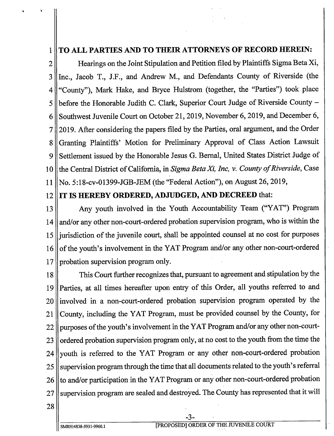## 1 | TO ALL PARTIES AND TO THEIR ATTORNEYS OF RECORD HEREIN:

2 || Hearings on the Joint Stipulation and Petition filed by Plaintiffs Sigma Beta Xi, 3 || Inc., Jacob T., J.F., and Andrew M., and Defendants County of Riverside (the 4 " County"), Mark Hake, and Bryce Hulstrom (together, the "Parties") took place  $5$  || before the Honorable Judith C. Clark, Superior Court Judge of Riverside County – 6 Southwest Juvenile Court on October 21, 2019, November 6, 2019, and December 6, 7 2019. After considering the papers filed by the Parties, oral argument, and the Order 8 || Granting Plaintiffs' Motion for Preliminary Approval of Class Action Lawsuit 9 || Settlement issued by the Honorable Jesus G. Bernal, United States District Judge of 10  $\parallel$  the Central District of California, in Sigma Beta Xi, Inc, v. County of Riverside, Case 11 || No. 5:18- cv-01399- JGB- JEM (the "Federal Action"), on August 26, 2019,

## 12 || IT IS HEREBY ORDERED, ADJUDGED, AND DECREED that:

13 || Any youth involved in the Youth Accountability Team ("YAT") Program 14 || and/ or any other non-court-ordered probation supervision program, who is within the 15 ll jurisdiction of the juvenile court, shall be appointed counsel at no cost for purposes 16 of the youth's involvement in the YAT Program and/or any other non-court-ordered 17 | probation supervision program only.

18 || This Court further recognizes that, pursuant to agreement and stipulation by the <sup>19</sup> Parties, at all times hereafter upon entry of this Order, all youths referred to and  $20$  ||involved in a non-court-ordered probation supervision program operated by the 21 County, including the YAT Program, must be provided counsel by the County, for 22 || purposes of the youth's involvement in the YAT Program and/or any other non-court-23  $\parallel$  ordered probation supervision program only, at no cost to the youth from the time the 24 youth is referred to the YAT Program or any other non-court-ordered probation 25 || supervision program through the time that all documents related to the youth's referral 26 || to and/or participation in the YAT Program or any other non-court-ordered probation 27 || supervision program are sealed and destroyed. The County has represented that it will

28

3-